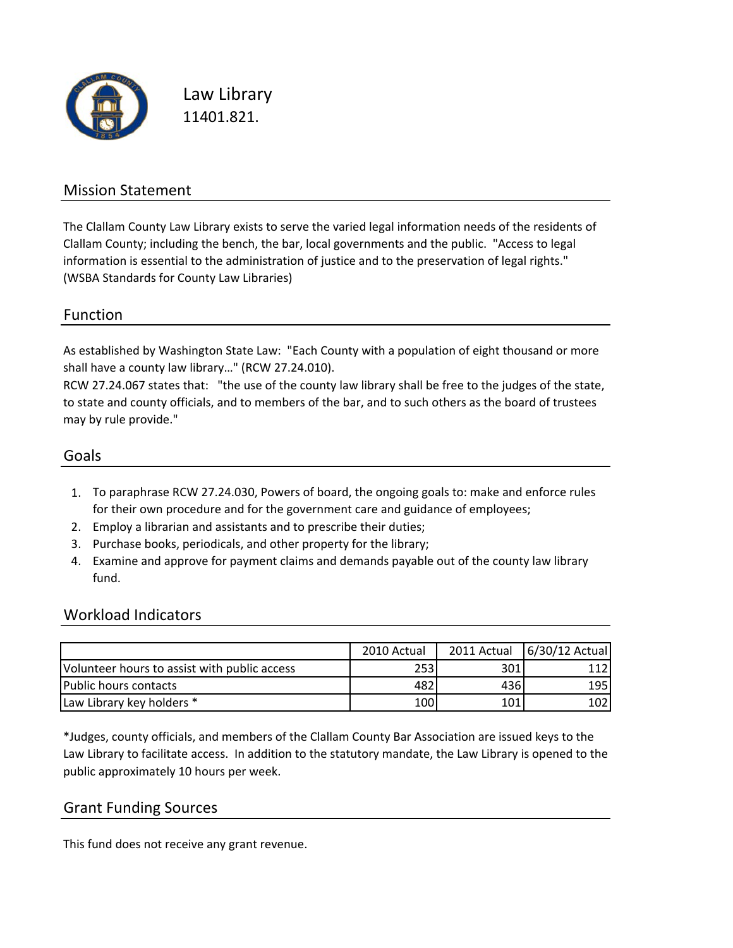

Law Library 11401.821.

### Mission Statement

The Clallam County Law Library exists to serve the varied legal information needs of the residents of Clallam County; including the bench, the bar, local governments and the public. "Access to legal information is essential to the administration of justice and to the preservation of legal rights." (WSBA Standards for County Law Libraries)

#### Function

As established by Washington State Law: "Each County with a population of eight thousand or more shall have a county law library…" (RCW 27.24.010).

RCW 27.24.067 states that: "the use of the county law library shall be free to the judges of the state, to state and county officials, and to members of the bar, and to such others as the board of trustees may by rule provide."

#### Goals

- 1. To paraphrase RCW 27.24.030, Powers of board, the ongoing goals to: make and enforce rules for their own procedure and for the government care and guidance of employees;
- 2. Employ a librarian and assistants and to prescribe their duties;
- 3. Purchase books, periodicals, and other property for the library;
- 4. Examine and approve for payment claims and demands payable out of the county law library fund.

#### Workload Indicators

|                                              | 2010 Actual |     | 2011 Actual   6/30/12 Actual |
|----------------------------------------------|-------------|-----|------------------------------|
| Volunteer hours to assist with public access | 253         | 301 |                              |
| lPublic hours contacts                       | 482         | 436 | 195                          |
| Law Library key holders *                    | 100         | 101 | 102                          |

\*Judges, county officials, and members of the Clallam County Bar Association are issued keys to the Law Library to facilitate access. In addition to the statutory mandate, the Law Library is opened to the public approximately 10 hours per week.

#### Grant Funding Sources

This fund does not receive any grant revenue.